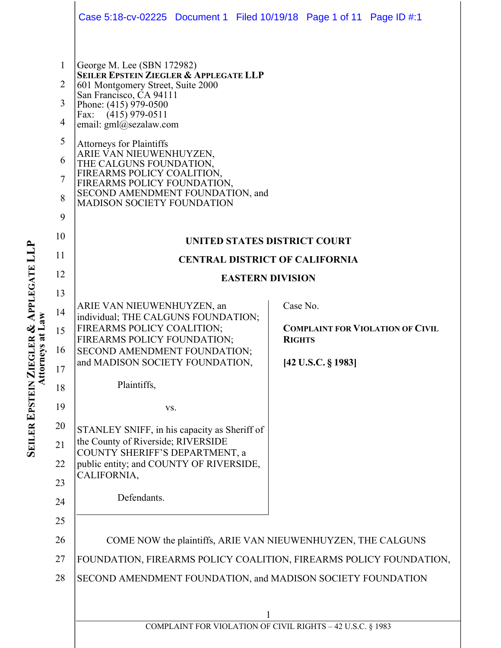|                                                                                        | Case 5:18-cv-02225 Document 1 Filed 10/19/18 Page 1 of 11 Page ID #:1                                                                                                                                                                                                                                                                                                                                                                                    |  |          |                                                          |  |
|----------------------------------------------------------------------------------------|----------------------------------------------------------------------------------------------------------------------------------------------------------------------------------------------------------------------------------------------------------------------------------------------------------------------------------------------------------------------------------------------------------------------------------------------------------|--|----------|----------------------------------------------------------|--|
| $\mathbf{1}$<br>$\overline{2}$<br>3<br>$\overline{4}$<br>5<br>6<br>$\overline{7}$<br>8 | George M. Lee (SBN 172982)<br><b>SEILER EPSTEIN ZIEGLER &amp; APPLEGATE LLP</b><br>601 Montgomery Street, Suite 2000<br>San Francisco, CA 94111<br>Phone: (415) 979-0500<br>Fax: (415) 979-0511<br>email: gml@sezalaw.com<br><b>Attorneys for Plaintiffs</b><br>ARIE VAN NIEUWENHUYZEN,<br>THE CALGUNS FOUNDATION,<br>FIREARMS POLICY COALITION,<br>FIREARMS POLICY FOUNDATION,<br>SECOND AMENDMENT FOUNDATION, and<br><b>MADISON SOCIETY FOUNDATION</b> |  |          |                                                          |  |
| 9                                                                                      |                                                                                                                                                                                                                                                                                                                                                                                                                                                          |  |          |                                                          |  |
| 10                                                                                     | UNITED STATES DISTRICT COURT                                                                                                                                                                                                                                                                                                                                                                                                                             |  |          |                                                          |  |
| 11                                                                                     | <b>CENTRAL DISTRICT OF CALIFORNIA</b>                                                                                                                                                                                                                                                                                                                                                                                                                    |  |          |                                                          |  |
| 12                                                                                     | <b>EASTERN DIVISION</b>                                                                                                                                                                                                                                                                                                                                                                                                                                  |  |          |                                                          |  |
| 13                                                                                     | ARIE VAN NIEUWENHUYZEN, an<br>individual; THE CALGUNS FOUNDATION;                                                                                                                                                                                                                                                                                                                                                                                        |  | Case No. |                                                          |  |
| 14                                                                                     |                                                                                                                                                                                                                                                                                                                                                                                                                                                          |  |          |                                                          |  |
| 15                                                                                     | FIREARMS POLICY COALITION;<br>FIREARMS POLICY FOUNDATION;                                                                                                                                                                                                                                                                                                                                                                                                |  |          | <b>COMPLAINT FOR VIOLATION OF CIVIL</b><br><b>RIGHTS</b> |  |
| 16<br>17                                                                               | SECOND AMENDMENT FOUNDATION;<br>and MADISON SOCIETY FOUNDATION,                                                                                                                                                                                                                                                                                                                                                                                          |  |          | [42 U.S.C. § 1983]                                       |  |
| 18                                                                                     | Plaintiffs,                                                                                                                                                                                                                                                                                                                                                                                                                                              |  |          |                                                          |  |
| 19                                                                                     | VS.                                                                                                                                                                                                                                                                                                                                                                                                                                                      |  |          |                                                          |  |
| 20                                                                                     |                                                                                                                                                                                                                                                                                                                                                                                                                                                          |  |          |                                                          |  |
| 21                                                                                     | STANLEY SNIFF, in his capacity as Sheriff of<br>the County of Riverside; RIVERSIDE<br>COUNTY SHERIFF'S DEPARTMENT, a<br>public entity; and COUNTY OF RIVERSIDE,                                                                                                                                                                                                                                                                                          |  |          |                                                          |  |
| 22                                                                                     |                                                                                                                                                                                                                                                                                                                                                                                                                                                          |  |          |                                                          |  |
| 23                                                                                     | CALIFORNIA,                                                                                                                                                                                                                                                                                                                                                                                                                                              |  |          |                                                          |  |
| 24                                                                                     | Defendants.                                                                                                                                                                                                                                                                                                                                                                                                                                              |  |          |                                                          |  |
| 25                                                                                     |                                                                                                                                                                                                                                                                                                                                                                                                                                                          |  |          |                                                          |  |
| 26                                                                                     | COME NOW the plaintiffs, ARIE VAN NIEUWENHUYZEN, THE CALGUNS                                                                                                                                                                                                                                                                                                                                                                                             |  |          |                                                          |  |
| 27                                                                                     | FOUNDATION, FIREARMS POLICY COALITION, FIREARMS POLICY FOUNDATION,                                                                                                                                                                                                                                                                                                                                                                                       |  |          |                                                          |  |
| 28                                                                                     | SECOND AMENDMENT FOUNDATION, and MADISON SOCIETY FOUNDATION                                                                                                                                                                                                                                                                                                                                                                                              |  |          |                                                          |  |
|                                                                                        |                                                                                                                                                                                                                                                                                                                                                                                                                                                          |  |          |                                                          |  |
|                                                                                        | COMPLAINT FOR VIOLATION OF CIVIL RIGHTS - 42 U.S.C. § 1983                                                                                                                                                                                                                                                                                                                                                                                               |  |          |                                                          |  |
|                                                                                        |                                                                                                                                                                                                                                                                                                                                                                                                                                                          |  |          |                                                          |  |

**SEILER EPSTEIN ZIEGLER & APPLEGATE LL P Attorneys at Law**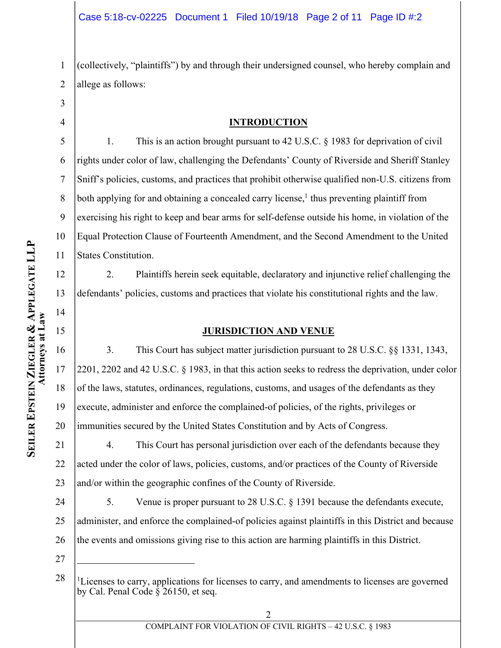1 2 (collectively, "plaintiffs") by and through their undersigned counsel, who hereby complain and allege as follows:

3 4

12

13

14

15

17

18

### **INTRODUCTION**

5 6 7 8 9 10 11 1. This is an action brought pursuant to 42 U.S.C. § 1983 for deprivation of civil rights under color of law, challenging the Defendants' County of Riverside and Sheriff Stanley Sniff's policies, customs, and practices that prohibit otherwise qualified non-U.S. citizens from both applying for and obtaining a concealed carry license,<sup>1</sup> thus preventing plaintiff from exercising his right to keep and bear arms for self-defense outside his home, in violation of the Equal Protection Clause of Fourteenth Amendment, and the Second Amendment to the United States Constitution.

2. Plaintiffs herein seek equitable, declaratory and injunctive relief challenging the defendants' policies, customs and practices that violate his constitutional rights and the law.

### **JURISDICTION AND VENUE**

16 19 20 3. This Court has subject matter jurisdiction pursuant to 28 U.S.C. §§ 1331, 1343, 2201, 2202 and 42 U.S.C. § 1983, in that this action seeks to redress the deprivation, under color of the laws, statutes, ordinances, regulations, customs, and usages of the defendants as they execute, administer and enforce the complained-of policies, of the rights, privileges or immunities secured by the United States Constitution and by Acts of Congress.

21 22 23 4. This Court has personal jurisdiction over each of the defendants because they acted under the color of laws, policies, customs, and/or practices of the County of Riverside and/or within the geographic confines of the County of Riverside.

24 25 26 5. Venue is proper pursuant to 28 U.S.C. § 1391 because the defendants execute, administer, and enforce the complained-of policies against plaintiffs in this District and because the events and omissions giving rise to this action are harming plaintiffs in this District.

27

 $\overline{a}$ 

<sup>28</sup> <sup>1</sup>Licenses to carry, applications for licenses to carry, and amendments to licenses are governed by Cal. Penal Code  $\frac{2}{3}$  26150, et seq.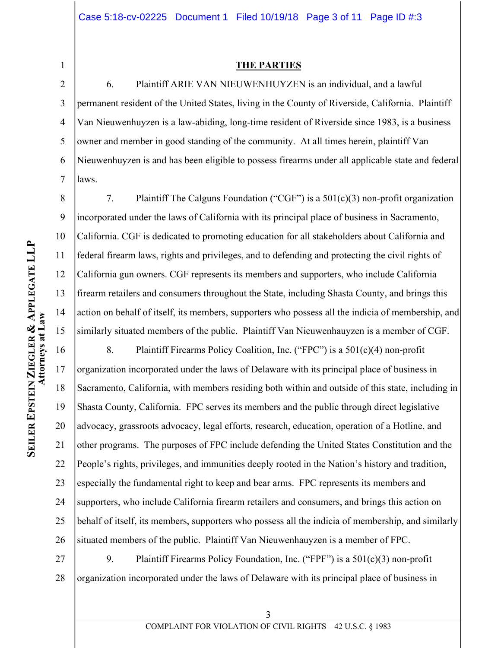1 2

8

9

10

11

12

13

14

15

#### **THE PARTIES**

3 4 5 6 7 6. Plaintiff ARIE VAN NIEUWENHUYZEN is an individual, and a lawful permanent resident of the United States, living in the County of Riverside, California. Plaintiff Van Nieuwenhuyzen is a law-abiding, long-time resident of Riverside since 1983, is a business owner and member in good standing of the community. At all times herein, plaintiff Van Nieuwenhuyzen is and has been eligible to possess firearms under all applicable state and federal laws.

7. Plaintiff The Calguns Foundation ("CGF") is a 501(c)(3) non-profit organization incorporated under the laws of California with its principal place of business in Sacramento, California. CGF is dedicated to promoting education for all stakeholders about California and federal firearm laws, rights and privileges, and to defending and protecting the civil rights of California gun owners. CGF represents its members and supporters, who include California firearm retailers and consumers throughout the State, including Shasta County, and brings this action on behalf of itself, its members, supporters who possess all the indicia of membership, and similarly situated members of the public. Plaintiff Van Nieuwenhauyzen is a member of CGF.

16 17 18 19 20 21 22 23 24 25 26 8. Plaintiff Firearms Policy Coalition, Inc. ("FPC") is a 501(c)(4) non-profit organization incorporated under the laws of Delaware with its principal place of business in Sacramento, California, with members residing both within and outside of this state, including in Shasta County, California. FPC serves its members and the public through direct legislative advocacy, grassroots advocacy, legal efforts, research, education, operation of a Hotline, and other programs. The purposes of FPC include defending the United States Constitution and the People's rights, privileges, and immunities deeply rooted in the Nation's history and tradition, especially the fundamental right to keep and bear arms. FPC represents its members and supporters, who include California firearm retailers and consumers, and brings this action on behalf of itself, its members, supporters who possess all the indicia of membership, and similarly situated members of the public. Plaintiff Van Nieuwenhauyzen is a member of FPC.

27 28 9. Plaintiff Firearms Policy Foundation, Inc. ("FPF") is a 501(c)(3) non-profit organization incorporated under the laws of Delaware with its principal place of business in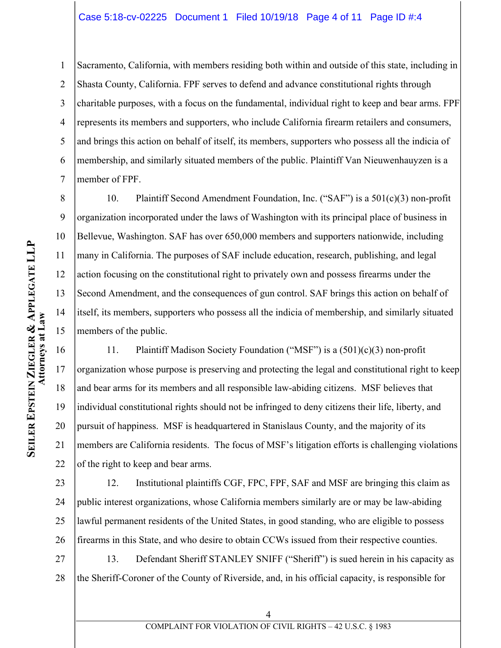### Case 5:18-cv-02225 Document 1 Filed 10/19/18 Page 4 of 11 Page ID #:4

1 2 3 4 5 6 7 Sacramento, California, with members residing both within and outside of this state, including in Shasta County, California. FPF serves to defend and advance constitutional rights through charitable purposes, with a focus on the fundamental, individual right to keep and bear arms. FPF represents its members and supporters, who include California firearm retailers and consumers, and brings this action on behalf of itself, its members, supporters who possess all the indicia of membership, and similarly situated members of the public. Plaintiff Van Nieuwenhauyzen is a member of FPF.

8 9 10 11 12 13 14 15 10. Plaintiff Second Amendment Foundation, Inc. ("SAF") is a 501(c)(3) non-profit organization incorporated under the laws of Washington with its principal place of business in Bellevue, Washington. SAF has over 650,000 members and supporters nationwide, including many in California. The purposes of SAF include education, research, publishing, and legal action focusing on the constitutional right to privately own and possess firearms under the Second Amendment, and the consequences of gun control. SAF brings this action on behalf of itself, its members, supporters who possess all the indicia of membership, and similarly situated members of the public.

16 17 18 19 20 21 22 11. Plaintiff Madison Society Foundation ("MSF") is a (501)(c)(3) non-profit organization whose purpose is preserving and protecting the legal and constitutional right to keep and bear arms for its members and all responsible law-abiding citizens. MSF believes that individual constitutional rights should not be infringed to deny citizens their life, liberty, and pursuit of happiness. MSF is headquartered in Stanislaus County, and the majority of its members are California residents. The focus of MSF's litigation efforts is challenging violations of the right to keep and bear arms.

23 24 25 26 12. Institutional plaintiffs CGF, FPC, FPF, SAF and MSF are bringing this claim as public interest organizations, whose California members similarly are or may be law-abiding lawful permanent residents of the United States, in good standing, who are eligible to possess firearms in this State, and who desire to obtain CCWs issued from their respective counties.

27 28 13. Defendant Sheriff STANLEY SNIFF ("Sheriff") is sued herein in his capacity as the Sheriff-Coroner of the County of Riverside, and, in his official capacity, is responsible for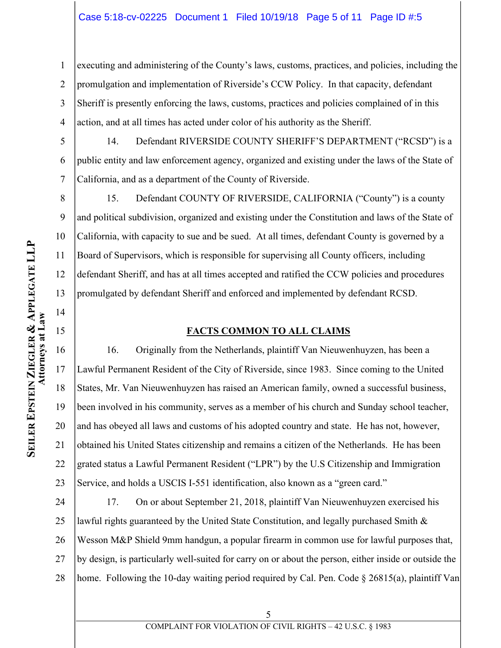## Case 5:18-cv-02225 Document 1 Filed 10/19/18 Page 5 of 11 Page ID #:5

1 2 3 4 executing and administering of the County's laws, customs, practices, and policies, including the promulgation and implementation of Riverside's CCW Policy. In that capacity, defendant Sheriff is presently enforcing the laws, customs, practices and policies complained of in this action, and at all times has acted under color of his authority as the Sheriff.

5 6 7 14. Defendant RIVERSIDE COUNTY SHERIFF'S DEPARTMENT ("RCSD") is a public entity and law enforcement agency, organized and existing under the laws of the State of California, and as a department of the County of Riverside.

8 9 10 11 12 13 15. Defendant COUNTY OF RIVERSIDE, CALIFORNIA ("County") is a county and political subdivision, organized and existing under the Constitution and laws of the State of California, with capacity to sue and be sued. At all times, defendant County is governed by a Board of Supervisors, which is responsible for supervising all County officers, including defendant Sheriff, and has at all times accepted and ratified the CCW policies and procedures promulgated by defendant Sheriff and enforced and implemented by defendant RCSD.

### **FACTS COMMON TO ALL CLAIMS**

16 17 18 19 20 22 23 16. Originally from the Netherlands, plaintiff Van Nieuwenhuyzen, has been a Lawful Permanent Resident of the City of Riverside, since 1983. Since coming to the United States, Mr. Van Nieuwenhuyzen has raised an American family, owned a successful business, been involved in his community, serves as a member of his church and Sunday school teacher, and has obeyed all laws and customs of his adopted country and state. He has not, however, obtained his United States citizenship and remains a citizen of the Netherlands. He has been grated status a Lawful Permanent Resident ("LPR") by the U.S Citizenship and Immigration Service, and holds a USCIS I-551 identification, also known as a "green card."

24 25 26 27 28 17. On or about September 21, 2018, plaintiff Van Nieuwenhuyzen exercised his lawful rights guaranteed by the United State Constitution, and legally purchased Smith  $\&$ Wesson M&P Shield 9mm handgun, a popular firearm in common use for lawful purposes that, by design, is particularly well-suited for carry on or about the person, either inside or outside the home. Following the 10-day waiting period required by Cal. Pen. Code § 26815(a), plaintiff Van

14

15

21

### COMPLAINT FOR VIOLATION OF CIVIL RIGHTS – 42 U.S.C. § 1983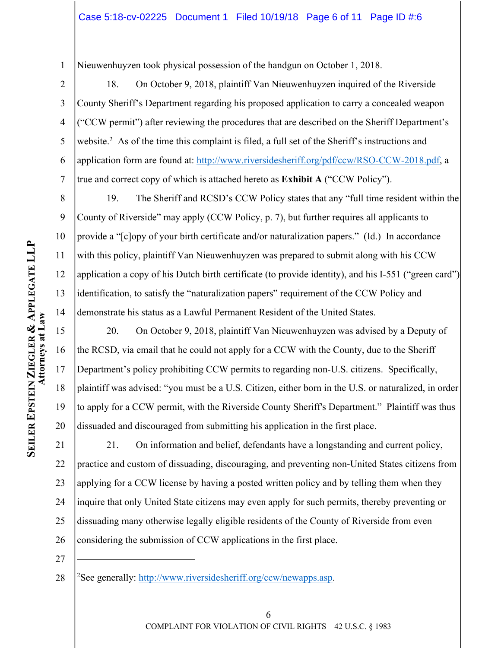1 Nieuwenhuyzen took physical possession of the handgun on October 1, 2018.

2 3 4 5 6 7 18. On October 9, 2018, plaintiff Van Nieuwenhuyzen inquired of the Riverside County Sheriff's Department regarding his proposed application to carry a concealed weapon ("CCW permit") after reviewing the procedures that are described on the Sheriff Department's website.<sup>2</sup> As of the time this complaint is filed, a full set of the Sheriff's instructions and application form are found at: http://www.riversidesheriff.org/pdf/ccw/RSO-CCW-2018.pdf, a true and correct copy of which is attached hereto as **Exhibit A** ("CCW Policy").

19. The Sheriff and RCSD's CCW Policy states that any "full time resident within the County of Riverside" may apply (CCW Policy, p. 7), but further requires all applicants to provide a "[c]opy of your birth certificate and/or naturalization papers." (Id.) In accordance with this policy, plaintiff Van Nieuwenhuyzen was prepared to submit along with his CCW application a copy of his Dutch birth certificate (to provide identity), and his I-551 ("green card") identification, to satisfy the "naturalization papers" requirement of the CCW Policy and demonstrate his status as a Lawful Permanent Resident of the United States.

20. On October 9, 2018, plaintiff Van Nieuwenhuyzen was advised by a Deputy of the RCSD, via email that he could not apply for a CCW with the County, due to the Sheriff Department's policy prohibiting CCW permits to regarding non-U.S. citizens. Specifically, plaintiff was advised: "you must be a U.S. Citizen, either born in the U.S. or naturalized, in order to apply for a CCW permit, with the Riverside County Sheriff's Department." Plaintiff was thus dissuaded and discouraged from submitting his application in the first place.

21 22 23 24 25 26 21. On information and belief, defendants have a longstanding and current policy, practice and custom of dissuading, discouraging, and preventing non-United States citizens from applying for a CCW license by having a posted written policy and by telling them when they inquire that only United State citizens may even apply for such permits, thereby preventing or dissuading many otherwise legally eligible residents of the County of Riverside from even considering the submission of CCW applications in the first place.

27

 $\overline{a}$ 

8

9

10

11

12

13

14

15

16

17

18

19

20

<sup>28</sup> 2See generally: http://www.riversidesheriff.org/ccw/newapps.asp.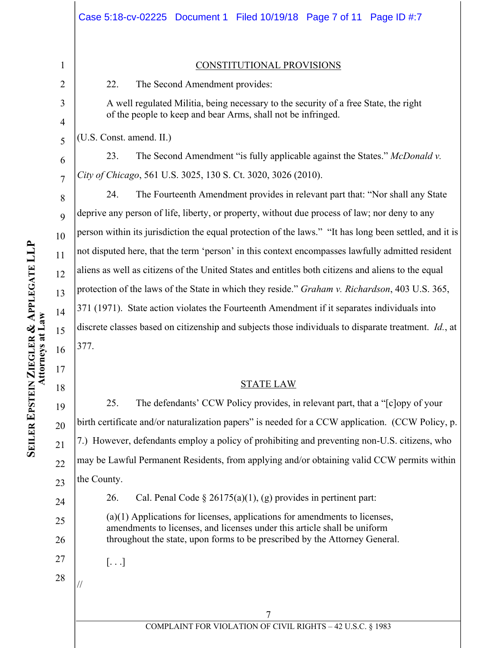# 1 2

3

4

5

6

7

8

 $\overline{Q}$ 

10

11

12

13

14

15

16

17

18

20

21

22

23

24

25

26

27

#### CONSTITUTIONAL PROVISIONS

22. The Second Amendment provides:

A well regulated Militia, being necessary to the security of a free State, the right of the people to keep and bear Arms, shall not be infringed.

(U.S. Const. amend. II.)

23. The Second Amendment "is fully applicable against the States." *McDonald v. City of Chicago*, 561 U.S. 3025, 130 S. Ct. 3020, 3026 (2010).

24. The Fourteenth Amendment provides in relevant part that: "Nor shall any State deprive any person of life, liberty, or property, without due process of law; nor deny to any person within its jurisdiction the equal protection of the laws." "It has long been settled, and it is not disputed here, that the term 'person' in this context encompasses lawfully admitted resident aliens as well as citizens of the United States and entitles both citizens and aliens to the equal protection of the laws of the State in which they reside." *Graham v. Richardson*, 403 U.S. 365, 371 (1971). State action violates the Fourteenth Amendment if it separates individuals into discrete classes based on citizenship and subjects those individuals to disparate treatment. *Id.*, at 377.

### STATE LAW

19 25. The defendants' CCW Policy provides, in relevant part, that a "[c]opy of your birth certificate and/or naturalization papers" is needed for a CCW application. (CCW Policy, p. 7.) However, defendants employ a policy of prohibiting and preventing non-U.S. citizens, who may be Lawful Permanent Residents, from applying and/or obtaining valid CCW permits within the County.

26. Cal. Penal Code  $\S 26175(a)(1)$ , (g) provides in pertinent part:

(a)(1) Applications for licenses, applications for amendments to licenses, amendments to licenses, and licenses under this article shall be uniform throughout the state, upon forms to be prescribed by the Attorney General.

 $\left[ \ldots \right]$ 

28

//

**APPLEGATE LL**

**P**

7 COMPLAINT FOR VIOLATION OF CIVIL RIGHTS – 42 U.S.C. § 1983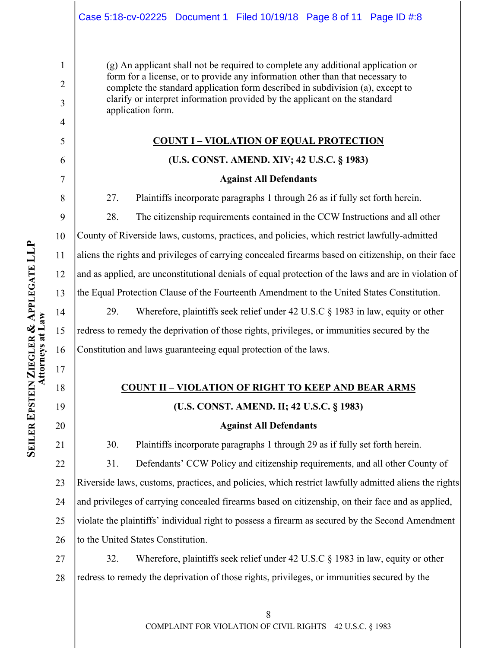(g) An applicant shall not be required to complete any additional application or form for a license, or to provide any information other than that necessary to complete the standard application form described in subdivision (a), except to clarify or interpret information provided by the applicant on the standard application form.

## **COUNT I – VIOLATION OF EQUAL PROTECTION**

# **(U.S. CONST. AMEND. XIV; 42 U.S.C. § 1983)**

## **Against All Defendants**

27. Plaintiffs incorporate paragraphs 1 through 26 as if fully set forth herein.

28. The citizenship requirements contained in the CCW Instructions and all other County of Riverside laws, customs, practices, and policies, which restrict lawfully-admitted aliens the rights and privileges of carrying concealed firearms based on citizenship, on their face and as applied, are unconstitutional denials of equal protection of the laws and are in violation of the Equal Protection Clause of the Fourteenth Amendment to the United States Constitution.

29. Wherefore, plaintiffs seek relief under 42 U.S.C § 1983 in law, equity or other redress to remedy the deprivation of those rights, privileges, or immunities secured by the Constitution and laws guaranteeing equal protection of the laws.

# **COUNT II – VIOLATION OF RIGHT TO KEEP AND BEAR ARMS**

# **(U.S. CONST. AMEND. II; 42 U.S.C. § 1983)**

# **Against All Defendants**

30. Plaintiffs incorporate paragraphs 1 through 29 as if fully set forth herein.

22 23 24 25 26 31. Defendants' CCW Policy and citizenship requirements, and all other County of Riverside laws, customs, practices, and policies, which restrict lawfully admitted aliens the rights and privileges of carrying concealed firearms based on citizenship, on their face and as applied, violate the plaintiffs' individual right to possess a firearm as secured by the Second Amendment to the United States Constitution.

27 28 32. Wherefore, plaintiffs seek relief under 42 U.S.C § 1983 in law, equity or other redress to remedy the deprivation of those rights, privileges, or immunities secured by the

1

2

3

4

5

6

7

8

9

10

11

12

13

14

15

16

17

18

19

20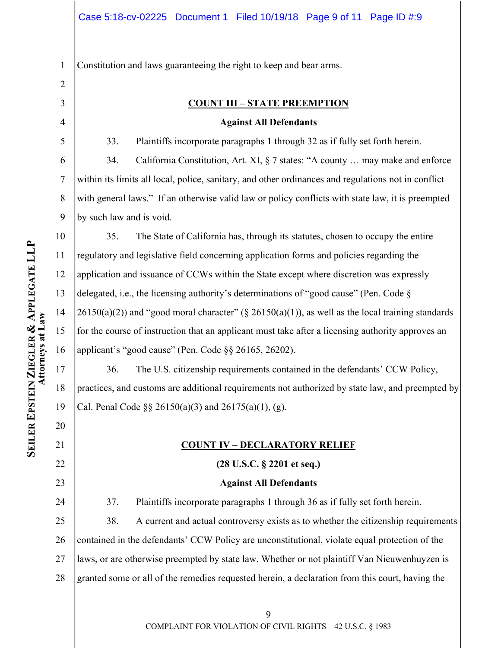1 Constitution and laws guaranteeing the right to keep and bear arms.

3 4

5

11

12

13

14

15

17

18

19

20

21

22

23

24

2

## **COUNT III – STATE PREEMPTION**

### **Against All Defendants**

33. Plaintiffs incorporate paragraphs 1 through 32 as if fully set forth herein.

6 7 8 9 34. California Constitution, Art. XI, § 7 states: "A county … may make and enforce within its limits all local, police, sanitary, and other ordinances and regulations not in conflict with general laws." If an otherwise valid law or policy conflicts with state law, it is preempted by such law and is void.

10 16 35. The State of California has, through its statutes, chosen to occupy the entire regulatory and legislative field concerning application forms and policies regarding the application and issuance of CCWs within the State except where discretion was expressly delegated, i.e., the licensing authority's determinations of "good cause" (Pen. Code §  $26150(a)(2)$ ) and "good moral character" (§  $26150(a)(1)$ ), as well as the local training standards for the course of instruction that an applicant must take after a licensing authority approves an applicant's "good cause" (Pen. Code §§ 26165, 26202).

36. The U.S. citizenship requirements contained in the defendants' CCW Policy, practices, and customs are additional requirements not authorized by state law, and preempted by Cal. Penal Code §§ 26150(a)(3) and 26175(a)(1), (g).

# **COUNT IV – DECLARATORY RELIEF**

# **(28 U.S.C. § 2201 et seq.)**

### **Against All Defendants**

37. Plaintiffs incorporate paragraphs 1 through 36 as if fully set forth herein.

25 26 27 28 38. A current and actual controversy exists as to whether the citizenship requirements contained in the defendants' CCW Policy are unconstitutional, violate equal protection of the laws, or are otherwise preempted by state law. Whether or not plaintiff Van Nieuwenhuyzen is granted some or all of the remedies requested herein, a declaration from this court, having the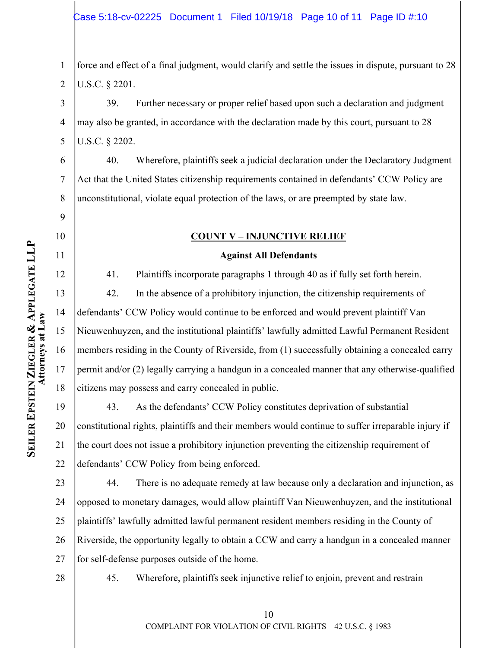1 2 force and effect of a final judgment, would clarify and settle the issues in dispute, pursuant to 28 U.S.C. § 2201.

3 4 5 39. Further necessary or proper relief based upon such a declaration and judgment may also be granted, in accordance with the declaration made by this court, pursuant to 28 U.S.C. § 2202.

6 7 8 40. Wherefore, plaintiffs seek a judicial declaration under the Declaratory Judgment Act that the United States citizenship requirements contained in defendants' CCW Policy are unconstitutional, violate equal protection of the laws, or are preempted by state law.

# **COUNT V – INJUNCTIVE RELIEF**

### **Against All Defendants**

41. Plaintiffs incorporate paragraphs 1 through 40 as if fully set forth herein.

42. In the absence of a prohibitory injunction, the citizenship requirements of defendants' CCW Policy would continue to be enforced and would prevent plaintiff Van Nieuwenhuyzen, and the institutional plaintiffs' lawfully admitted Lawful Permanent Resident members residing in the County of Riverside, from (1) successfully obtaining a concealed carry permit and/or (2) legally carrying a handgun in a concealed manner that any otherwise-qualified citizens may possess and carry concealed in public.

19 20 22 43. As the defendants' CCW Policy constitutes deprivation of substantial constitutional rights, plaintiffs and their members would continue to suffer irreparable injury if the court does not issue a prohibitory injunction preventing the citizenship requirement of defendants' CCW Policy from being enforced.

23 24 25 26 27 44. There is no adequate remedy at law because only a declaration and injunction, as opposed to monetary damages, would allow plaintiff Van Nieuwenhuyzen, and the institutional plaintiffs' lawfully admitted lawful permanent resident members residing in the County of Riverside, the opportunity legally to obtain a CCW and carry a handgun in a concealed manner for self-defense purposes outside of the home.

28

45. Wherefore, plaintiffs seek injunctive relief to enjoin, prevent and restrain

9

10

11

12

13

14

15

16

17

18